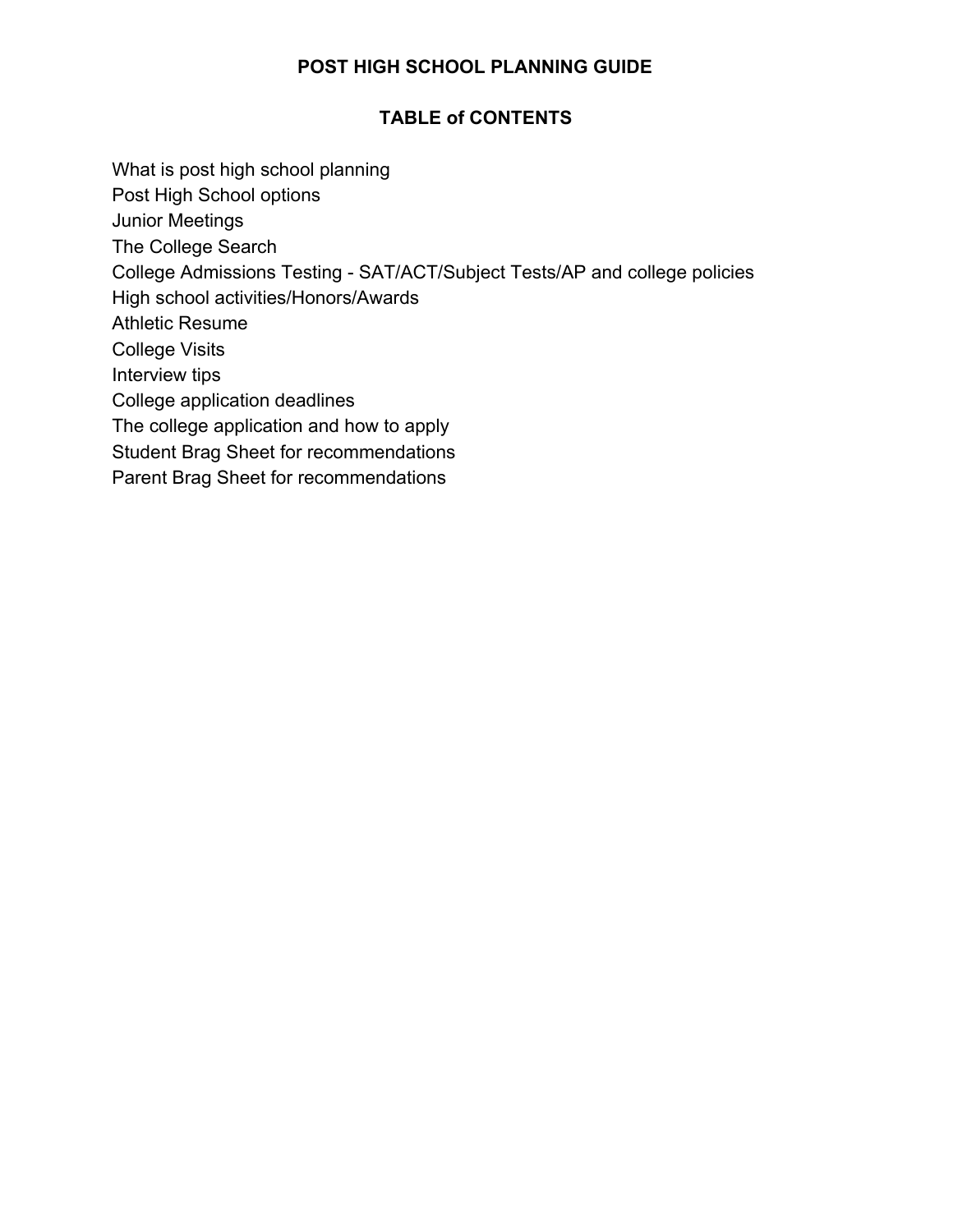### **POST HIGH SCHOOL PLANNING GUIDE**

### **TABLE of CONTENTS**

- What is post high school planning
- Post High School options
- Junior Meetings
- The College Search
- College Admissions Testing SAT/ACT/Subject Tests/AP and college policies
- High school activities/Honors/Awards
- Athletic Resume
- College Visits
- Interview tips
- College application deadlines
- The college application and how to apply
- Student Brag Sheet for recommendations
- Parent Brag Sheet for recommendations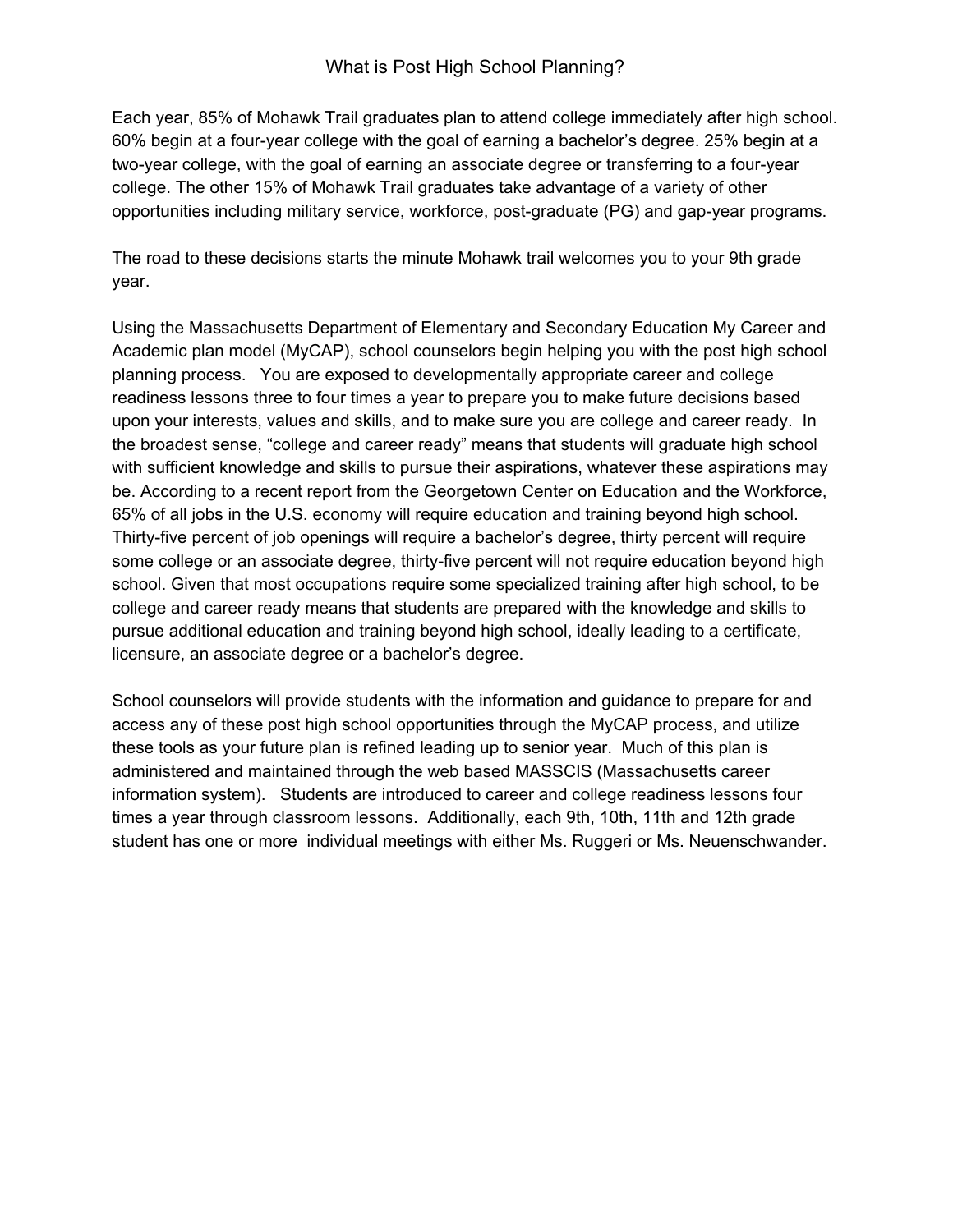Each year, 85% of Mohawk Trail graduates plan to attend college immediately after high school. 60% begin at a four-year college with the goal of earning a bachelor's degree. 25% begin at a two-year college, with the goal of earning an associate degree or transferring to a four-year college. The other 15% of Mohawk Trail graduates take advantage of a variety of other opportunities including military service, workforce, post-graduate (PG) and gap-year programs.

The road to these decisions starts the minute Mohawk trail welcomes you to your 9th grade year.

Using the Massachusetts Department of Elementary and Secondary Education My Career and Academic plan model (MyCAP), school counselors begin helping you with the post high school planning process. You are exposed to developmentally appropriate career and college readiness lessons three to four times a year to prepare you to make future decisions based upon your interests, values and skills, and to make sure you are college and career ready. In the broadest sense, "college and career ready" means that students will graduate high school with sufficient knowledge and skills to pursue their aspirations, whatever these aspirations may be. According to a recent report from the Georgetown Center on Education and the Workforce, 65% of all jobs in the U.S. economy will require education and training beyond high school. Thirty-five percent of job openings will require a bachelor's degree, thirty percent will require some college or an associate degree, thirty-five percent will not require education beyond high school. Given that most occupations require some specialized training after high school, to be college and career ready means that students are prepared with the knowledge and skills to pursue additional education and training beyond high school, ideally leading to a certificate, licensure, an associate degree or a bachelor's degree.

School counselors will provide students with the information and guidance to prepare for and access any of these post high school opportunities through the MyCAP process, and utilize these tools as your future plan is refined leading up to senior year. Much of this plan is administered and maintained through the web based MASSCIS (Massachusetts career information system). Students are introduced to career and college readiness lessons four times a year through classroom lessons. Additionally, each 9th, 10th, 11th and 12th grade student has one or more individual meetings with either Ms. Ruggeri or Ms. Neuenschwander.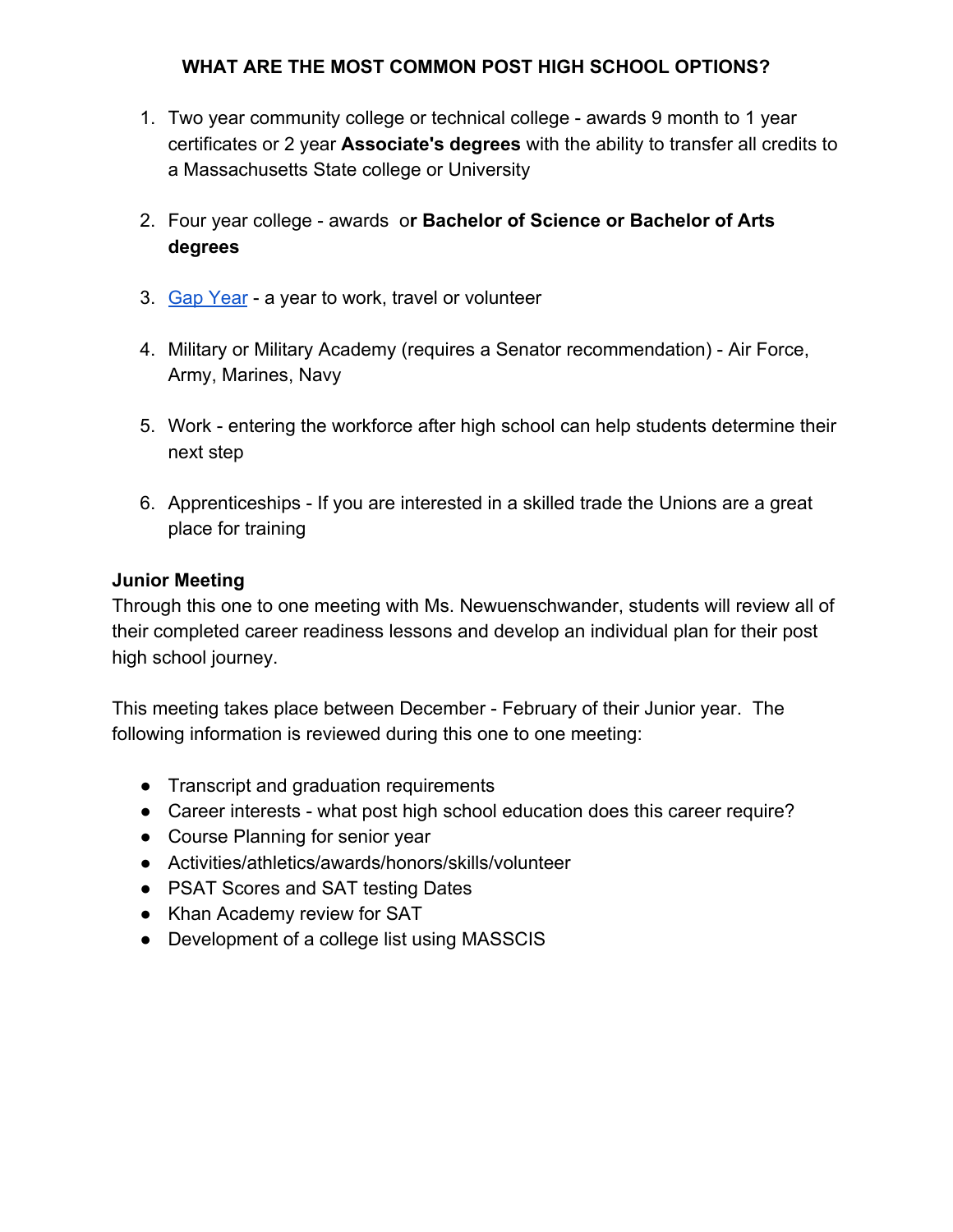### **WHAT ARE THE MOST COMMON POST HIGH SCHOOL OPTIONS?**

- 1. Two year community college or technical college awards 9 month to 1 year certificates or 2 year **Associate's degrees** with the ability to transfer all credits to a Massachusetts State college or University
- 2. Four year college awards o**r Bachelor of Science or Bachelor of Arts degrees**
- 3. [Gap Year](https://gapyearassociation.org/index.php) a year to work, travel or volunteer
- 4. Military or Military Academy (requires a Senator recommendation) Air Force, Army, Marines, Navy
- 5. Work entering the workforce after high school can help students determine their next step
- 6. Apprenticeships If you are interested in a skilled trade the Unions are a great place for training

#### **Junior Meeting**

Through this one to one meeting with Ms. Newuenschwander, students will review all of their completed career readiness lessons and develop an individual plan for their post high school journey.

This meeting takes place between December - February of their Junior year. The following information is reviewed during this one to one meeting:

- Transcript and graduation requirements
- Career interests what post high school education does this career require?
- Course Planning for senior year
- Activities/athletics/awards/honors/skills/volunteer
- PSAT Scores and SAT testing Dates
- Khan Academy review for SAT
- Development of a college list using MASSCIS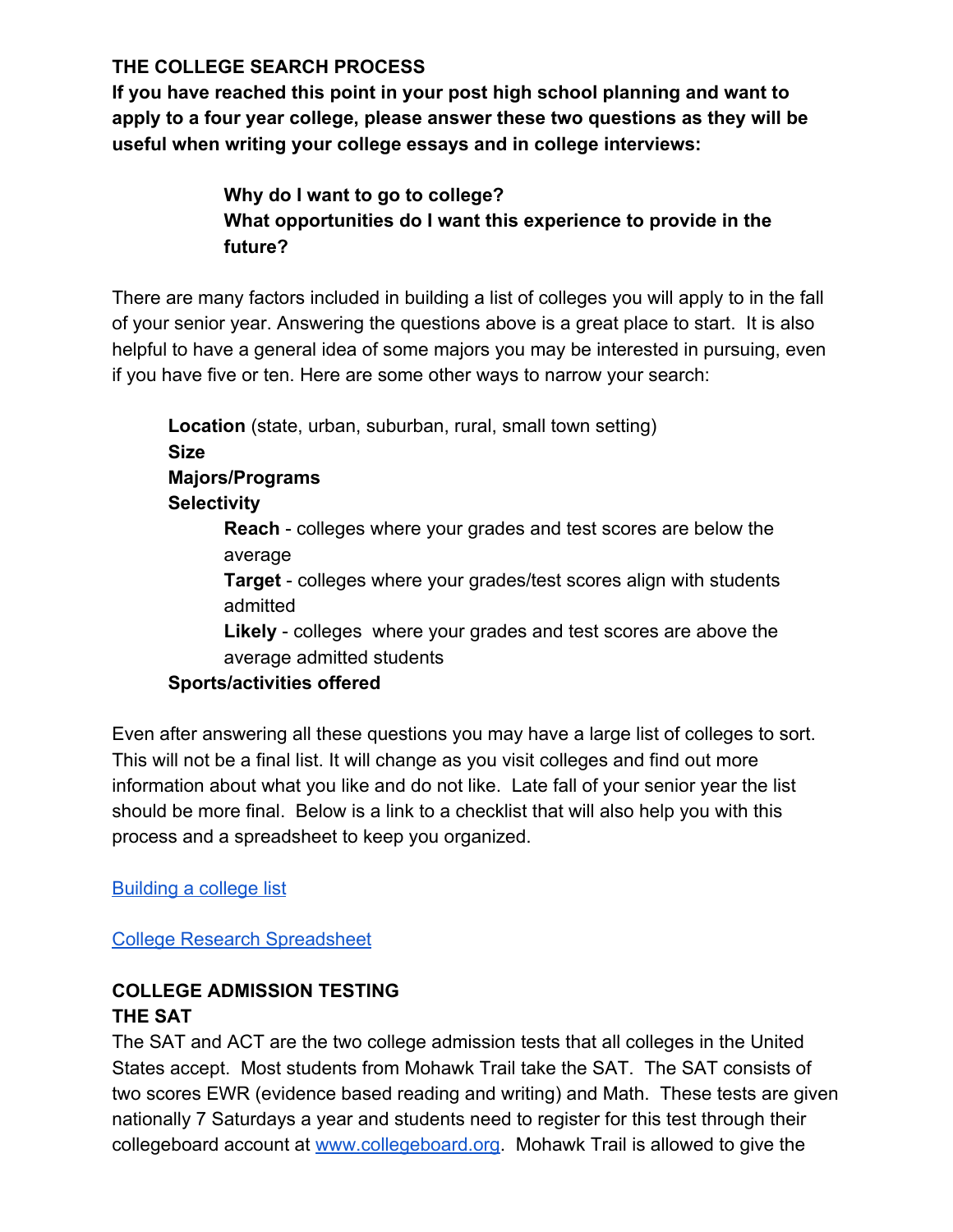# **THE COLLEGE SEARCH PROCESS**

**If you have reached this point in your post high school planning and want to apply to a four year college, please answer these two questions as they will be useful when writing your college essays and in college interviews:**

# **Why do I want to go to college? What opportunities do I want this experience to provide in the future?**

There are many factors included in building a list of colleges you will apply to in the fall of your senior year. Answering the questions above is a great place to start. It is also helpful to have a general idea of some majors you may be interested in pursuing, even if you have five or ten. Here are some other ways to narrow your search:

**Location** (state, urban, suburban, rural, small town setting) **Size Majors/Programs Selectivity Reach** - colleges where your grades and test scores are below the average **Target** - colleges where your grades/test scores align with students admitted **Likely** - colleges where your grades and test scores are above the

average admitted students

# **Sports/activities offered**

Even after answering all these questions you may have a large list of colleges to sort. This will not be a final list. It will change as you visit colleges and find out more information about what you like and do not like. Late fall of your senior year the list should be more final. Below is a link to a checklist that will also help you with this process and a spreadsheet to keep you organized.

# [Building a college list](https://secure-media.collegeboard.org/CollegePlanning/media/pdf/BigFuture-College-List-Handout.pdf)

### [College Research Spreadsheet](https://docs.google.com/spreadsheets/d/1Nk9xH7lTJ1vFuBoG3sPHjkTMgCkFASMNBnCtc_kbUOo/edit#gid=635518636)

# **COLLEGE ADMISSION TESTING THE SAT**

The SAT and ACT are the two college admission tests that all colleges in the United States accept. Most students from Mohawk Trail take the SAT. The SAT consists of two scores EWR (evidence based reading and writing) and Math. These tests are given nationally 7 Saturdays a year and students need to register for this test through their collegeboard account at [www.collegeboard.org.](http://www.collegeboard.org/) Mohawk Trail is allowed to give the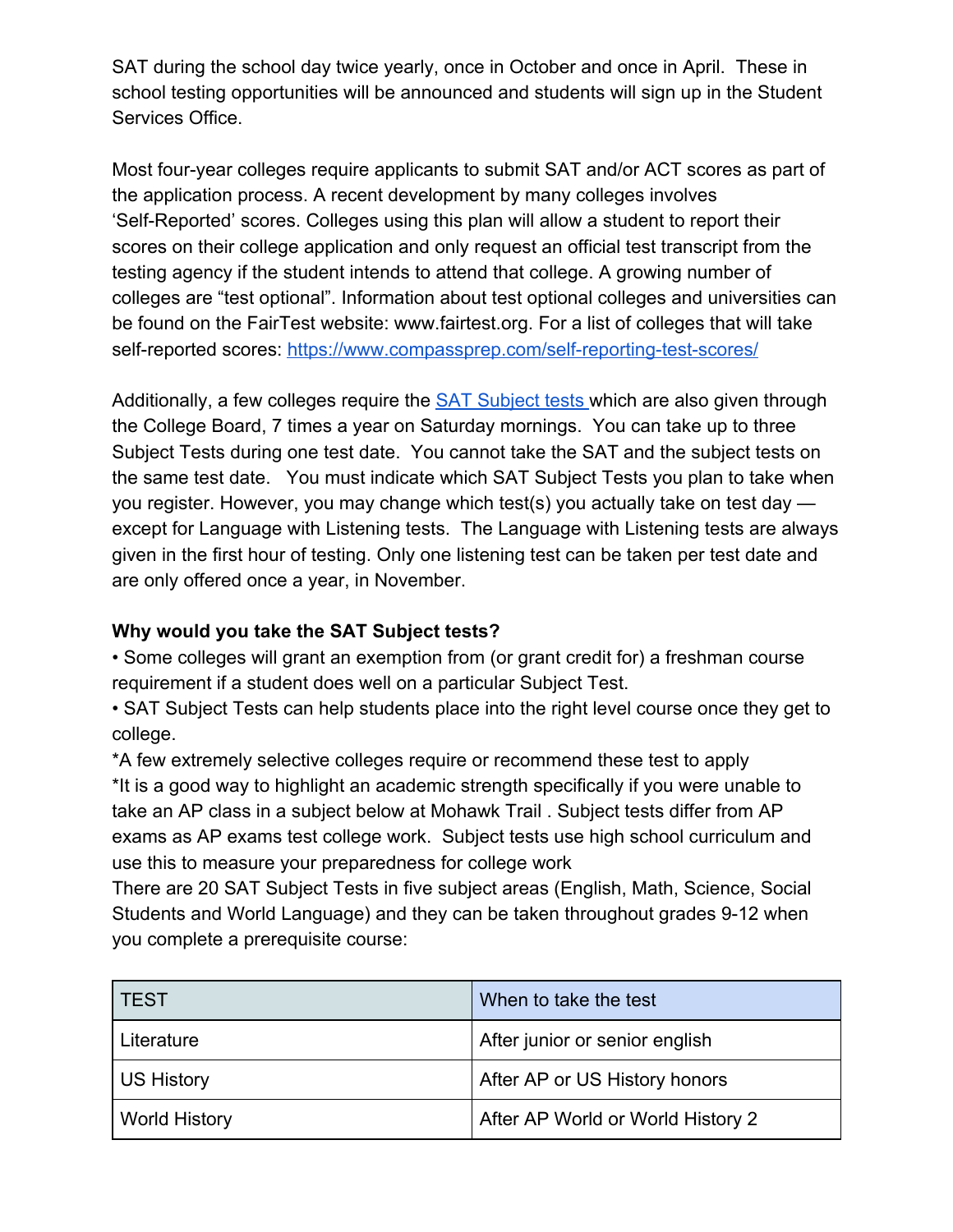SAT during the school day twice yearly, once in October and once in April. These in school testing opportunities will be announced and students will sign up in the Student Services Office.

Most four-year colleges require applicants to submit SAT and/or ACT scores as part of the application process. A recent development by many colleges involves 'Self-Reported' scores. Colleges using this plan will allow a student to report their scores on their college application and only request an official test transcript from the testing agency if the student intends to attend that college. A growing number of colleges are "test optional". Information about test optional colleges and universities can be found on the FairTest website: www.fairtest.org. For a list of colleges that will take self-reported scores:<https://www.compassprep.com/self-reporting-test-scores/>

Additionally, a few colleges require the [SAT Subject tests w](https://collegereadiness.collegeboard.org/sat-subject-tests)hich are also given through the College Board, 7 times a year on Saturday mornings. You can take up to three Subject Tests during one test date. You cannot take the SAT and the subject tests on the same test date. You must indicate which SAT Subject Tests you plan to take when you register. However, you may change which test(s) you actually take on test day except for Language with Listening tests. The Language with Listening tests are always given in the first hour of testing. Only one listening test can be taken per test date and are only offered once a year, in November.

# **Why would you take the SAT Subject tests?**

• Some colleges will grant an exemption from (or grant credit for) a freshman course requirement if a student does well on a particular Subject Test.

• SAT Subject Tests can help students place into the right level course once they get to college.

\*A few extremely selective colleges require or recommend these test to apply \*It is a good way to highlight an academic strength specifically if you were unable to take an AP class in a subject below at Mohawk Trail . Subject tests differ from AP exams as AP exams test college work. Subject tests use high school curriculum and use this to measure your preparedness for college work

There are 20 SAT Subject Tests in five subject areas (English, Math, Science, Social Students and World Language) and they can be taken throughout grades 9-12 when you complete a prerequisite course:

| <b>TEST</b>          | When to take the test             |
|----------------------|-----------------------------------|
| Literature           | After junior or senior english    |
| <b>US History</b>    | After AP or US History honors     |
| <b>World History</b> | After AP World or World History 2 |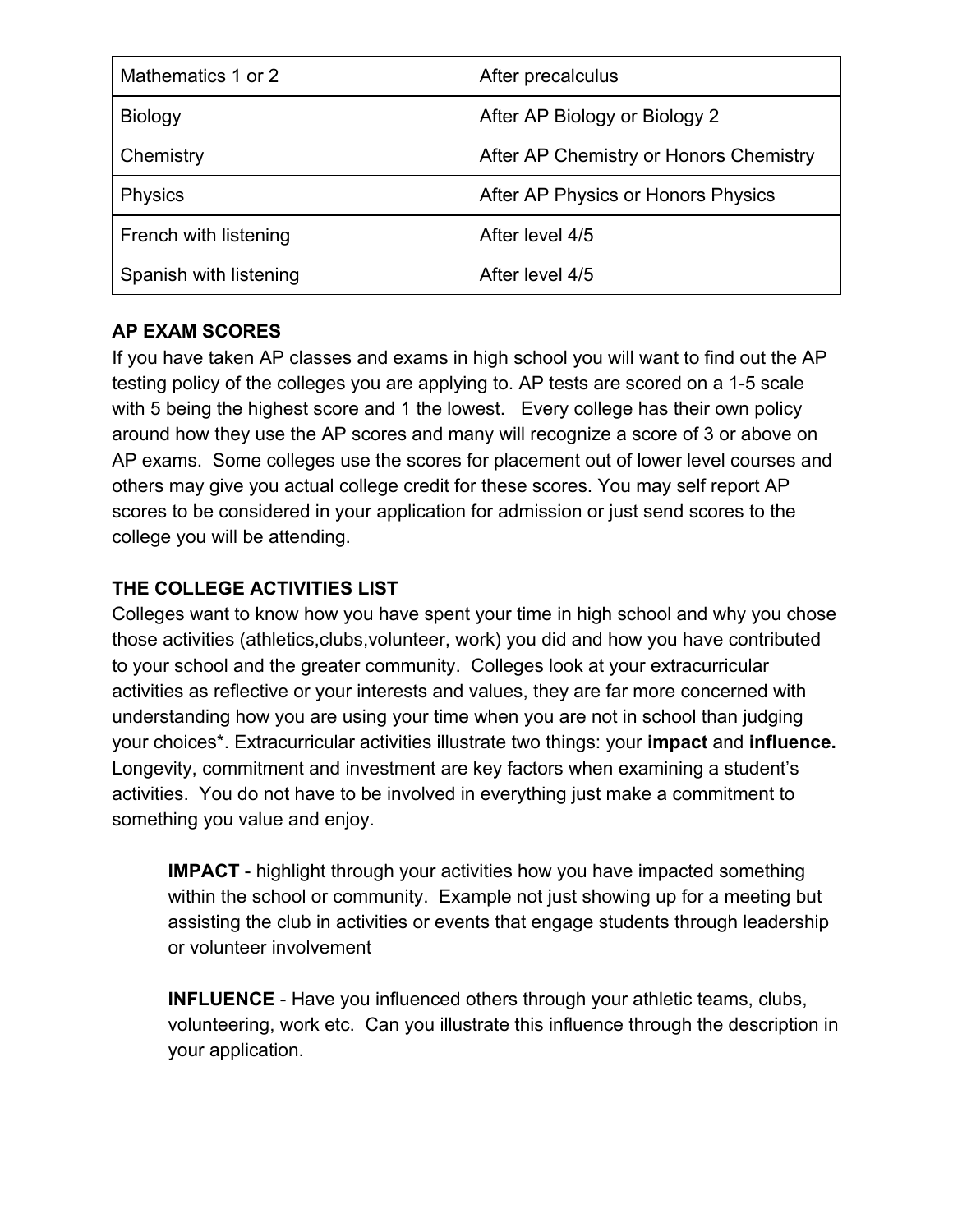| Mathematics 1 or 2     | After precalculus                      |
|------------------------|----------------------------------------|
| <b>Biology</b>         | After AP Biology or Biology 2          |
| Chemistry              | After AP Chemistry or Honors Chemistry |
| <b>Physics</b>         | After AP Physics or Honors Physics     |
| French with listening  | After level 4/5                        |
| Spanish with listening | After level 4/5                        |

### **AP EXAM SCORES**

If you have taken AP classes and exams in high school you will want to find out the AP testing policy of the colleges you are applying to. AP tests are scored on a 1-5 scale with 5 being the highest score and 1 the lowest. Every college has their own policy around how they use the AP scores and many will recognize a score of 3 or above on AP exams. Some colleges use the scores for placement out of lower level courses and others may give you actual college credit for these scores. You may self report AP scores to be considered in your application for admission or just send scores to the college you will be attending.

# **THE COLLEGE ACTIVITIES LIST**

Colleges want to know how you have spent your time in high school and why you chose those activities (athletics,clubs,volunteer, work) you did and how you have contributed to your school and the greater community. Colleges look at your extracurricular activities as reflective or your interests and values, they are far more concerned with understanding how you are using your time when you are not in school than judging your choices\*. Extracurricular activities illustrate two things: your **impact** and **influence.** Longevity, commitment and investment are key factors when examining a student's activities. You do not have to be involved in everything just make a commitment to something you value and enjoy.

**IMPACT** - highlight through your activities how you have impacted something within the school or community. Example not just showing up for a meeting but assisting the club in activities or events that engage students through leadership or volunteer involvement

**INFLUENCE** - Have you influenced others through your athletic teams, clubs, volunteering, work etc. Can you illustrate this influence through the description in your application.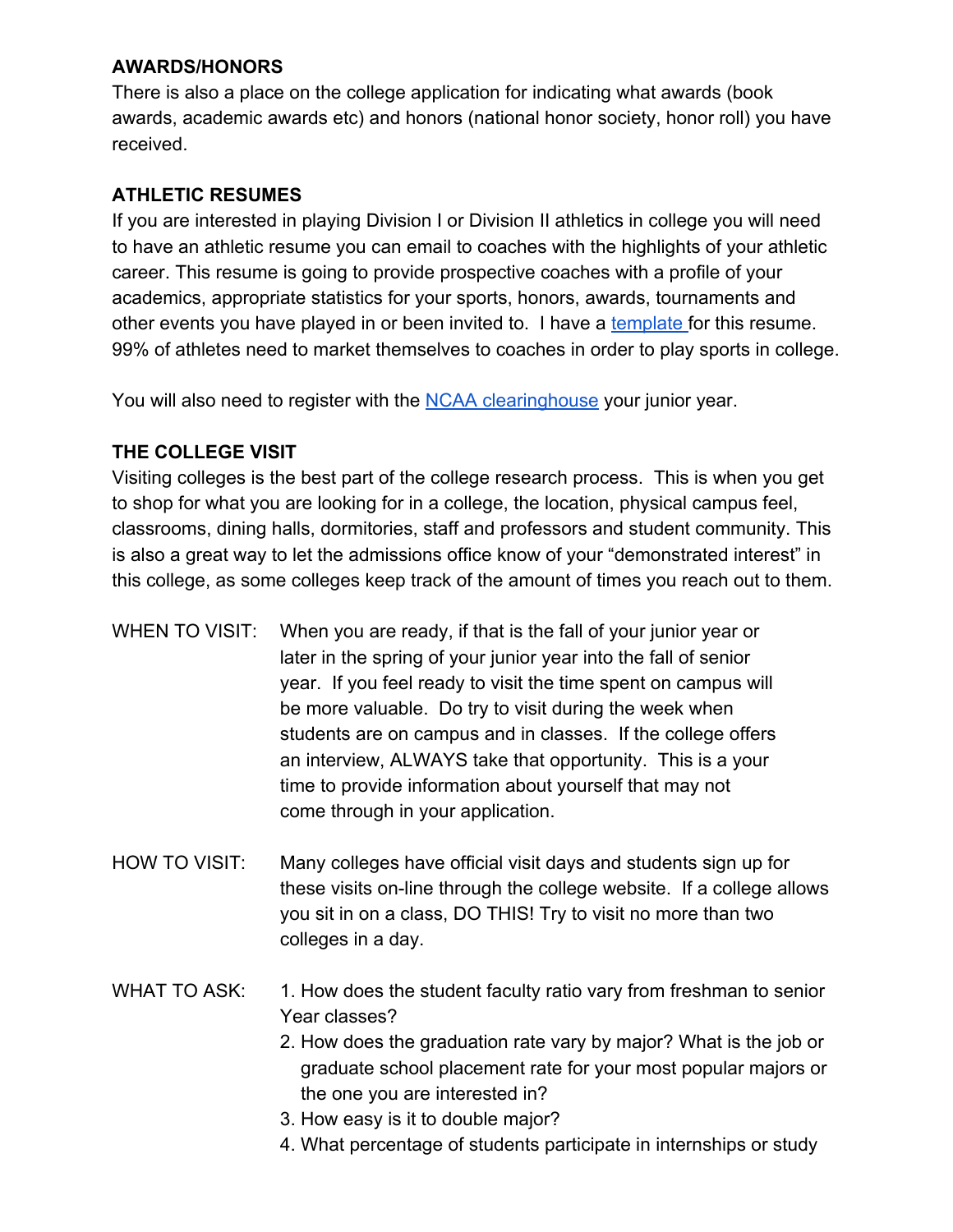### **AWARDS/HONORS**

There is also a place on the college application for indicating what awards (book awards, academic awards etc) and honors (national honor society, honor roll) you have received.

# **ATHLETIC RESUMES**

If you are interested in playing Division I or Division II athletics in college you will need to have an athletic resume you can email to coaches with the highlights of your athletic career. This resume is going to provide prospective coaches with a profile of your academics, appropriate statistics for your sports, honors, awards, tournaments and other events you have played in or been invited to. I have a [template](https://drive.google.com/file/d/189epQXFty2twhJFvaTl3grxhYttCwEhs/view?usp=sharing) for this resume. 99% of athletes need to market themselves to coaches in order to play sports in college.

You will also need to register with the [NCAA clearinghouse](https://web3.ncaa.org/ecwr3/) your junior year.

# **THE COLLEGE VISIT**

Visiting colleges is the best part of the college research process. This is when you get to shop for what you are looking for in a college, the location, physical campus feel, classrooms, dining halls, dormitories, staff and professors and student community. This is also a great way to let the admissions office know of your "demonstrated interest" in this college, as some colleges keep track of the amount of times you reach out to them.

- WHEN TO VISIT: When you are ready, if that is the fall of your junior year or later in the spring of your junior year into the fall of senior year. If you feel ready to visit the time spent on campus will be more valuable. Do try to visit during the week when students are on campus and in classes. If the college offers an interview, ALWAYS take that opportunity. This is a your time to provide information about yourself that may not come through in your application.
- HOW TO VISIT: Many colleges have official visit days and students sign up for these visits on-line through the college website. If a college allows you sit in on a class, DO THIS! Try to visit no more than two colleges in a day.
- WHAT TO ASK: 1. How does the student faculty ratio vary from freshman to senior Year classes?
	- 2. How does the graduation rate vary by major? What is the job or graduate school placement rate for your most popular majors or the one you are interested in?
	- 3. How easy is it to double major?
	- 4. What percentage of students participate in internships or study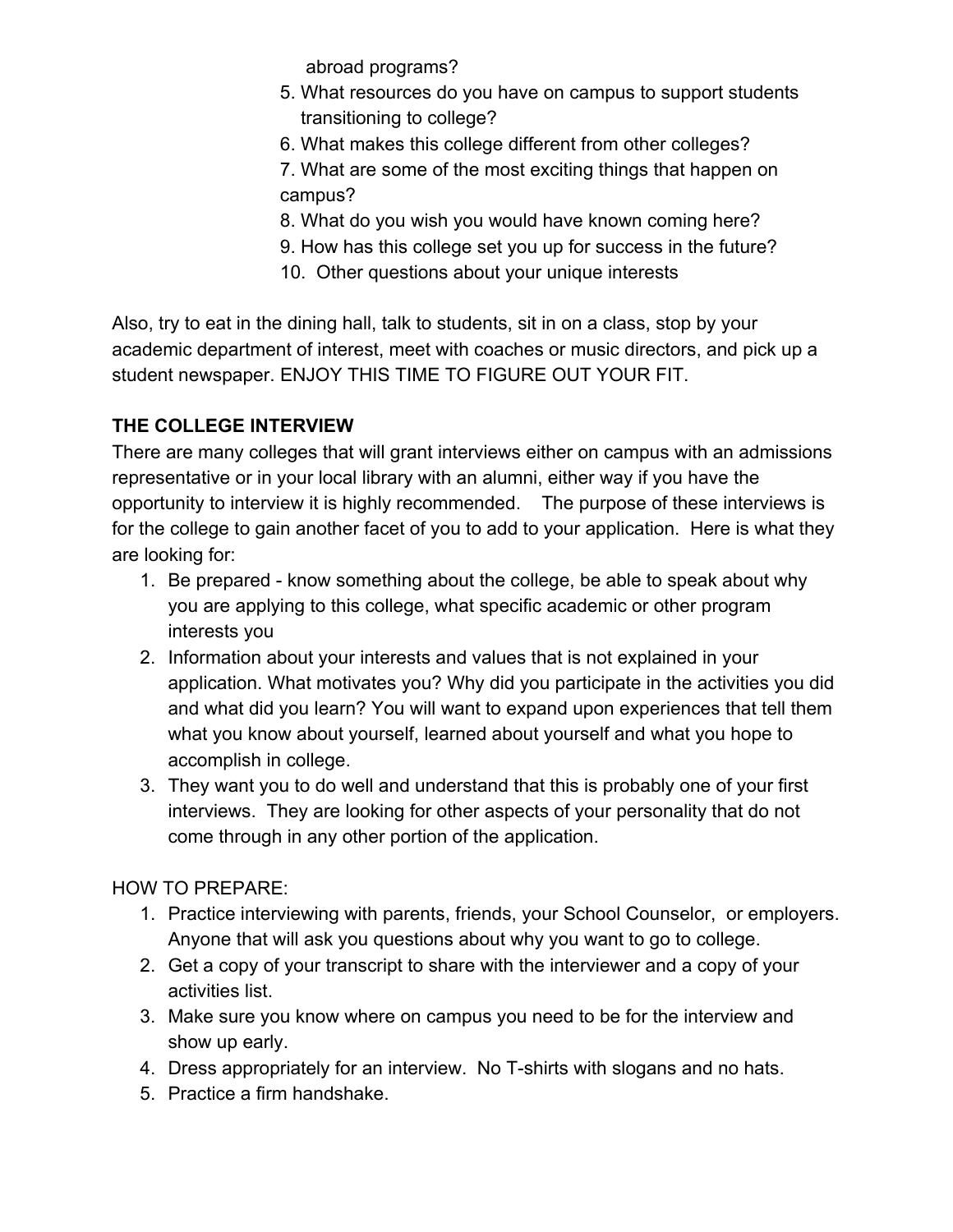abroad programs?

- 5. What resources do you have on campus to support students transitioning to college?
- 6. What makes this college different from other colleges?
- 7. What are some of the most exciting things that happen on campus?
- 8. What do you wish you would have known coming here?
- 9. How has this college set you up for success in the future?
- 10. Other questions about your unique interests

Also, try to eat in the dining hall, talk to students, sit in on a class, stop by your academic department of interest, meet with coaches or music directors, and pick up a student newspaper. ENJOY THIS TIME TO FIGURE OUT YOUR FIT.

# **THE COLLEGE INTERVIEW**

There are many colleges that will grant interviews either on campus with an admissions representative or in your local library with an alumni, either way if you have the opportunity to interview it is highly recommended. The purpose of these interviews is for the college to gain another facet of you to add to your application. Here is what they are looking for:

- 1. Be prepared know something about the college, be able to speak about why you are applying to this college, what specific academic or other program interests you
- 2. Information about your interests and values that is not explained in your application. What motivates you? Why did you participate in the activities you did and what did you learn? You will want to expand upon experiences that tell them what you know about yourself, learned about yourself and what you hope to accomplish in college.
- 3. They want you to do well and understand that this is probably one of your first interviews. They are looking for other aspects of your personality that do not come through in any other portion of the application.

HOW TO PREPARE:

- 1. Practice interviewing with parents, friends, your School Counselor, or employers. Anyone that will ask you questions about why you want to go to college.
- 2. Get a copy of your transcript to share with the interviewer and a copy of your activities list.
- 3. Make sure you know where on campus you need to be for the interview and show up early.
- 4. Dress appropriately for an interview. No T-shirts with slogans and no hats.
- 5. Practice a firm handshake.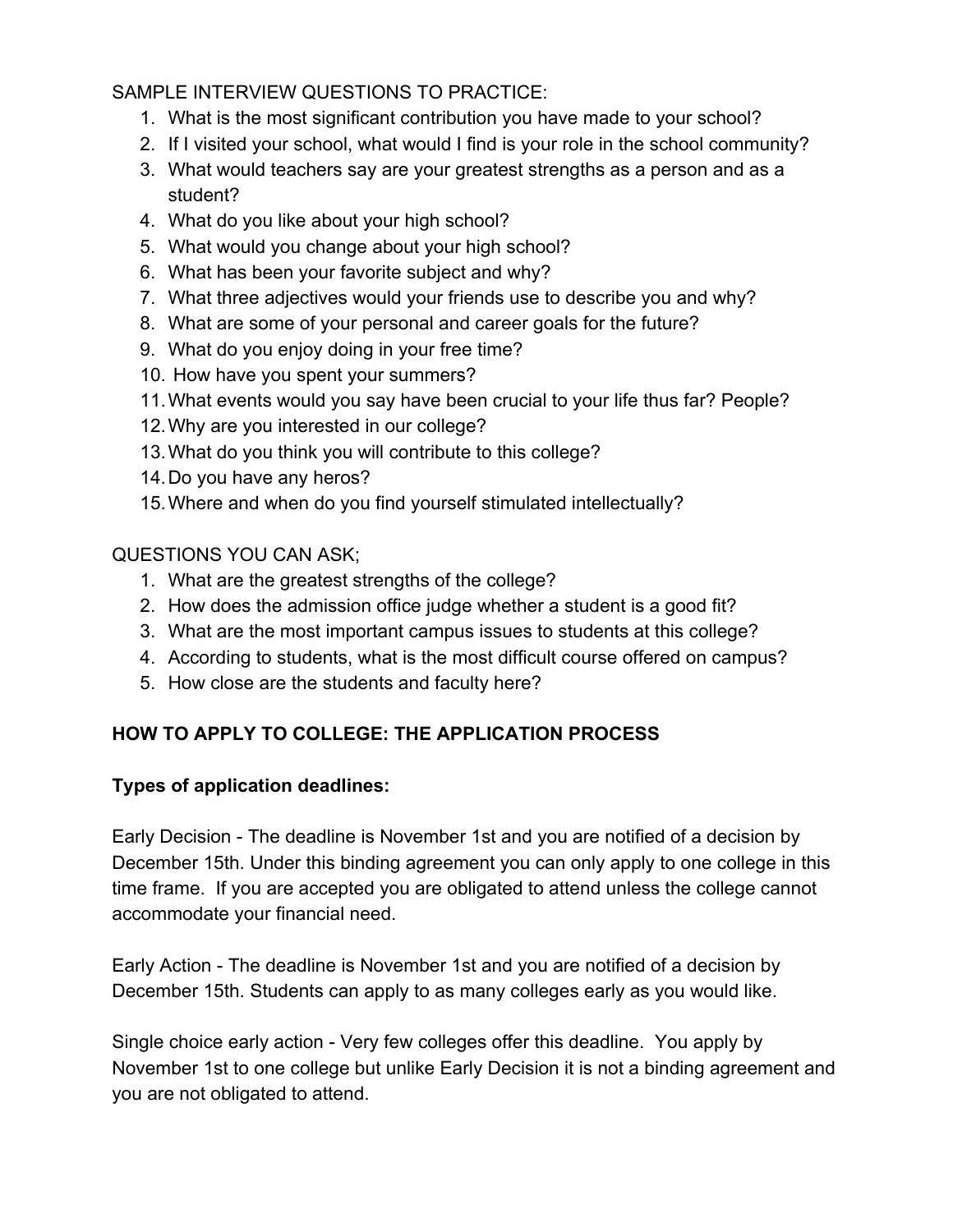# SAMPLE INTERVIEW QUESTIONS TO PRACTICE:

- 1. What is the most significant contribution you have made to your school?
- 2. If I visited your school, what would I find is your role in the school community?
- 3. What would teachers say are your greatest strengths as a person and as a student?
- 4. What do you like about your high school?
- 5. What would you change about your high school?
- 6. What has been your favorite subject and why?
- 7. What three adjectives would your friends use to describe you and why?
- 8. What are some of your personal and career goals for the future?
- 9. What do you enjoy doing in your free time?
- 10. How have you spent your summers?
- 11.What events would you say have been crucial to your life thus far? People?
- 12.Why are you interested in our college?
- 13.What do you think you will contribute to this college?
- 14.Do you have any heros?
- 15.Where and when do you find yourself stimulated intellectually?

QUESTIONS YOU CAN ASK;

- 1. What are the greatest strengths of the college?
- 2. How does the admission office judge whether a student is a good fit?
- 3. What are the most important campus issues to students at this college?
- 4. According to students, what is the most difficult course offered on campus?
- 5. How close are the students and faculty here?

# **HOW TO APPLY TO COLLEGE: THE APPLICATION PROCESS**

# **Types of application deadlines:**

Early Decision - The deadline is November 1st and you are notified of a decision by December 15th. Under this binding agreement you can only apply to one college in this time frame. If you are accepted you are obligated to attend unless the college cannot accommodate your financial need.

Early Action - The deadline is November 1st and you are notified of a decision by December 15th. Students can apply to as many colleges early as you would like.

Single choice early action - Very few colleges offer this deadline. You apply by November 1st to one college but unlike Early Decision it is not a binding agreement and you are not obligated to attend.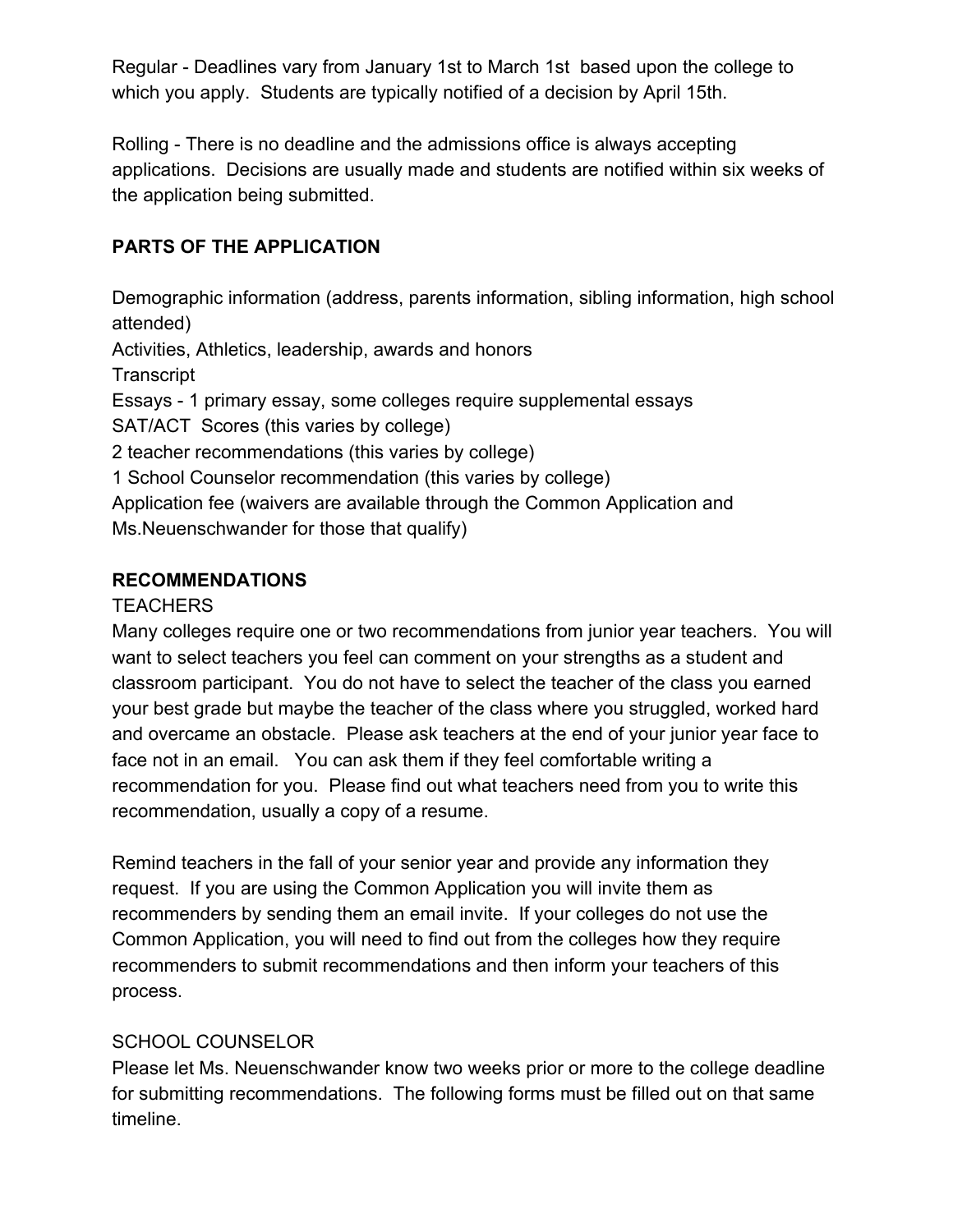Regular - Deadlines vary from January 1st to March 1st based upon the college to which you apply. Students are typically notified of a decision by April 15th.

Rolling - There is no deadline and the admissions office is always accepting applications. Decisions are usually made and students are notified within six weeks of the application being submitted.

# **PARTS OF THE APPLICATION**

Demographic information (address, parents information, sibling information, high school attended) Activities, Athletics, leadership, awards and honors **Transcript** Essays - 1 primary essay, some colleges require supplemental essays SAT/ACT Scores (this varies by college) 2 teacher recommendations (this varies by college) 1 School Counselor recommendation (this varies by college) Application fee (waivers are available through the Common Application and Ms.Neuenschwander for those that qualify)

### **RECOMMENDATIONS**

### TEACHERS

Many colleges require one or two recommendations from junior year teachers. You will want to select teachers you feel can comment on your strengths as a student and classroom participant. You do not have to select the teacher of the class you earned your best grade but maybe the teacher of the class where you struggled, worked hard and overcame an obstacle. Please ask teachers at the end of your junior year face to face not in an email. You can ask them if they feel comfortable writing a recommendation for you. Please find out what teachers need from you to write this recommendation, usually a copy of a resume.

Remind teachers in the fall of your senior year and provide any information they request. If you are using the Common Application you will invite them as recommenders by sending them an email invite. If your colleges do not use the Common Application, you will need to find out from the colleges how they require recommenders to submit recommendations and then inform your teachers of this process.

# SCHOOL COUNSELOR

Please let Ms. Neuenschwander know two weeks prior or more to the college deadline for submitting recommendations. The following forms must be filled out on that same timeline.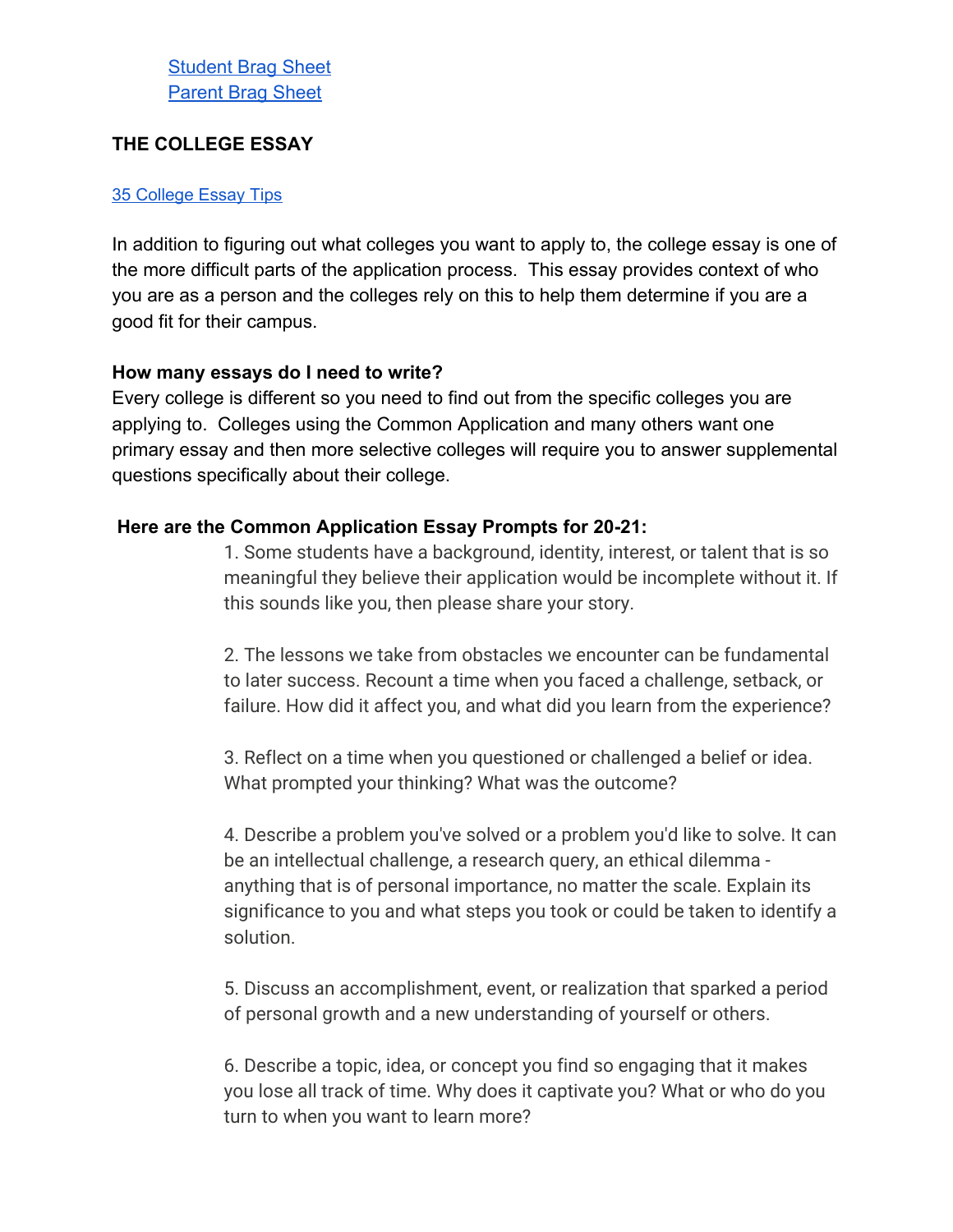### **THE COLLEGE ESSAY**

#### 35 [College](https://www.collegeessayguy.com/blog/college-essay-tips) Essay Tips

In addition to figuring out what colleges you want to apply to, the college essay is one of the more difficult parts of the application process. This essay provides context of who you are as a person and the colleges rely on this to help them determine if you are a good fit for their campus.

#### **How many essays do I need to write?**

Every college is different so you need to find out from the specific colleges you are applying to. Colleges using the Common Application and many others want one primary essay and then more selective colleges will require you to answer supplemental questions specifically about their college.

### **Here are the Common Application Essay Prompts for 20-21:**

1. Some students have a background, identity, interest, or talent that is so meaningful they believe their application would be incomplete without it. If this sounds like you, then please share your story.

2. The lessons we take from obstacles we encounter can be fundamental to later success. Recount a time when you faced a challenge, setback, or failure. How did it affect you, and what did you learn from the experience?

3. Reflect on a time when you questioned or challenged a belief or idea. What prompted your thinking? What was the outcome?

4. Describe a problem you've solved or a problem you'd like to solve. It can be an intellectual challenge, a research query, an ethical dilemma anything that is of personal importance, no matter the scale. Explain its significance to you and what steps you took or could be taken to identify a solution.

5. Discuss an accomplishment, event, or realization that sparked a period of personal growth and a new understanding of yourself or others.

6. Describe a topic, idea, or concept you find so engaging that it makes you lose all track of time. Why does it captivate you? What or who do you turn to when you want to learn more?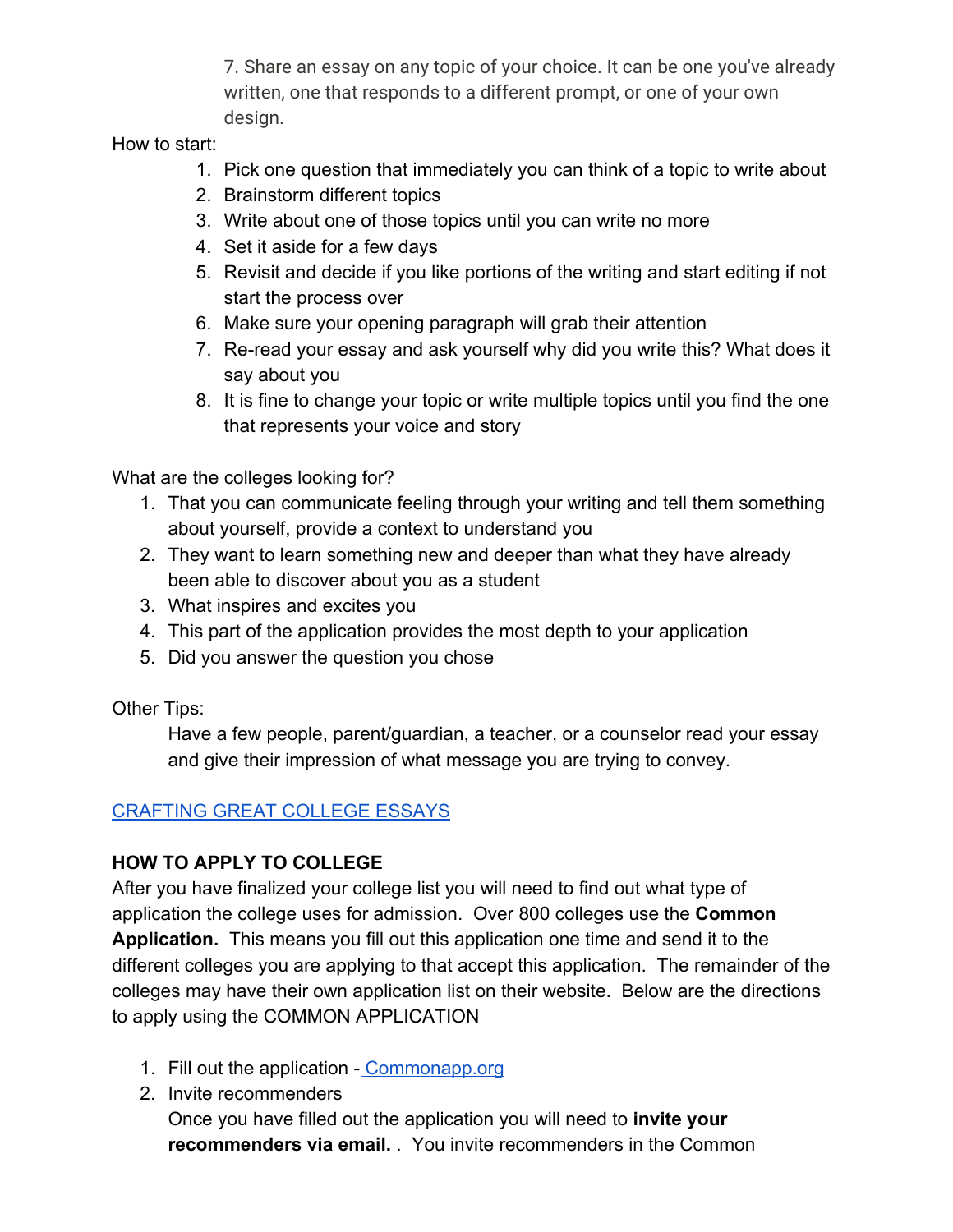7. Share an essay on any topic of your choice. It can be one you've already written, one that responds to a different prompt, or one of your own design.

How to start:

- 1. Pick one question that immediately you can think of a topic to write about
- 2. Brainstorm different topics
- 3. Write about one of those topics until you can write no more
- 4. Set it aside for a few days
- 5. Revisit and decide if you like portions of the writing and start editing if not start the process over
- 6. Make sure your opening paragraph will grab their attention
- 7. Re-read your essay and ask yourself why did you write this? What does it say about you
- 8. It is fine to change your topic or write multiple topics until you find the one that represents your voice and story

What are the colleges looking for?

- 1. That you can communicate feeling through your writing and tell them something about yourself, provide a context to understand you
- 2. They want to learn something new and deeper than what they have already been able to discover about you as a student
- 3. What inspires and excites you
- 4. This part of the application provides the most depth to your application
- 5. Did you answer the question you chose

Other Tips:

Have a few people, parent/guardian, a teacher, or a counselor read your essay and give their impression of what message you are trying to convey.

# [CRAFTING GREAT COLLEGE ESSAYS](https://docs.google.com/document/d/15z69M0R2PNhia5JNn4CcaC17FrRsetKKSBCehgID5C8/edit?usp=sharing)

# **HOW TO APPLY TO COLLEGE**

After you have finalized your college list you will need to find out what type of application the college uses for admission. Over 800 colleges use the **Common Application.** This means you fill out this application one time and send it to the different colleges you are applying to that accept this application. The remainder of the colleges may have their own application list on their website. Below are the directions to apply using the COMMON APPLICATION

- 1. Fill out the application - [Commonapp.org](https://www.commonapp.org/)
- 2. Invite recommenders Once you have filled out the application you will need to **invite your recommenders via email.** . You invite recommenders in the Common